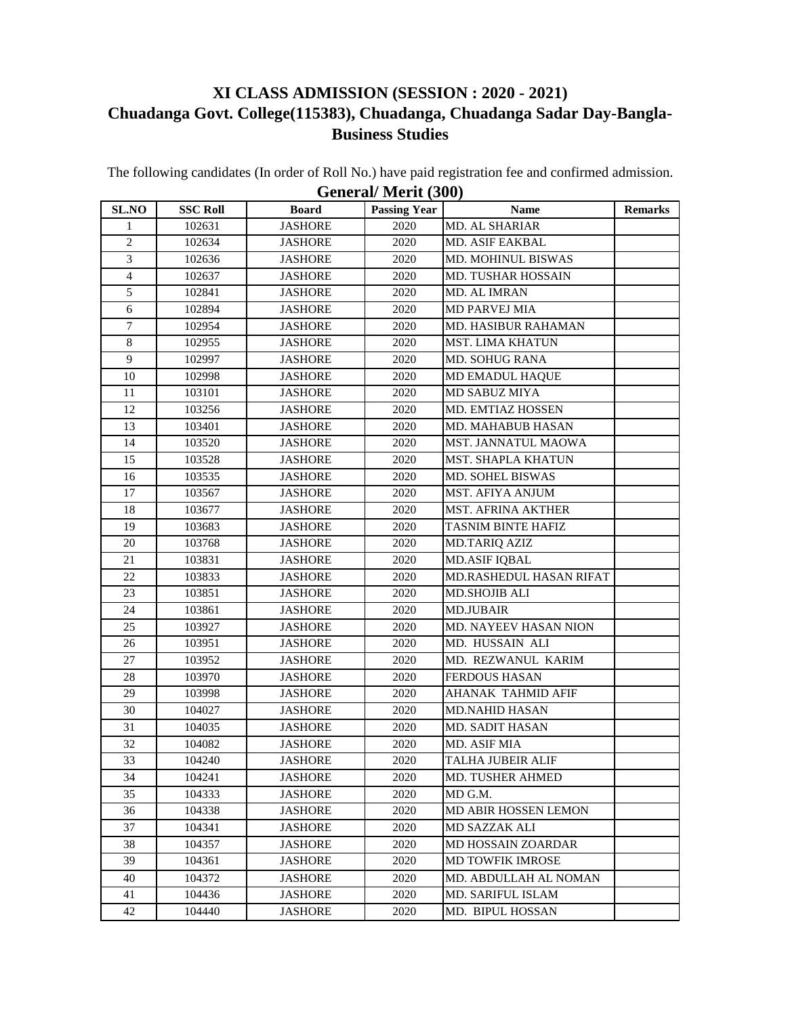## **XI CLASS ADMISSION (SESSION : 2020 - 2021) Chuadanga Govt. College(115383), Chuadanga, Chuadanga Sadar Day-Bangla-Business Studies**

The following candidates (In order of Roll No.) have paid registration fee and confirmed admission. **General/ Merit (300)**

| SLNO             | <b>SSC Roll</b> | <b>Board</b>   | <b>Passing Year</b> | Name                      | <b>Remarks</b> |
|------------------|-----------------|----------------|---------------------|---------------------------|----------------|
| $\mathbf{1}$     | 102631          | <b>JASHORE</b> | 2020                | <b>MD. AL SHARIAR</b>     |                |
| $\overline{c}$   | 102634          | <b>JASHORE</b> | 2020                | MD. ASIF EAKBAL           |                |
| 3                | 102636          | <b>JASHORE</b> | 2020                | <b>MD. MOHINUL BISWAS</b> |                |
| $\overline{4}$   | 102637          | <b>JASHORE</b> | 2020                | MD. TUSHAR HOSSAIN        |                |
| 5                | 102841          | <b>JASHORE</b> | 2020                | MD. AL IMRAN              |                |
| 6                | 102894          | <b>JASHORE</b> | 2020                | <b>MD PARVEJ MIA</b>      |                |
| $\boldsymbol{7}$ | 102954          | <b>JASHORE</b> | 2020                | MD. HASIBUR RAHAMAN       |                |
| $\,8\,$          | 102955          | <b>JASHORE</b> | 2020                | <b>MST. LIMA KHATUN</b>   |                |
| 9                | 102997          | <b>JASHORE</b> | 2020                | MD. SOHUG RANA            |                |
| 10               | 102998          | <b>JASHORE</b> | 2020                | MD EMADUL HAQUE           |                |
| 11               | 103101          | <b>JASHORE</b> | 2020                | MD SABUZ MIYA             |                |
| 12               | 103256          | <b>JASHORE</b> | 2020                | MD. EMTIAZ HOSSEN         |                |
| 13               | 103401          | <b>JASHORE</b> | 2020                | MD. MAHABUB HASAN         |                |
| 14               | 103520          | <b>JASHORE</b> | 2020                | MST. JANNATUL MAOWA       |                |
| 15               | 103528          | <b>JASHORE</b> | 2020                | <b>MST. SHAPLA KHATUN</b> |                |
| 16               | 103535          | <b>JASHORE</b> | 2020                | <b>MD. SOHEL BISWAS</b>   |                |
| 17               | 103567          | <b>JASHORE</b> | 2020                | MST. AFIYA ANJUM          |                |
| 18               | 103677          | <b>JASHORE</b> | 2020                | <b>MST. AFRINA AKTHER</b> |                |
| 19               | 103683          | <b>JASHORE</b> | 2020                | <b>TASNIM BINTE HAFIZ</b> |                |
| 20               | 103768          | <b>JASHORE</b> | 2020                | <b>MD.TARIQ AZIZ</b>      |                |
| 21               | 103831          | <b>JASHORE</b> | 2020                | <b>MD.ASIF IQBAL</b>      |                |
| 22               | 103833          | <b>JASHORE</b> | 2020                | MD.RASHEDUL HASAN RIFAT   |                |
| 23               | 103851          | <b>JASHORE</b> | 2020                | <b>MD.SHOJIB ALI</b>      |                |
| 24               | 103861          | <b>JASHORE</b> | 2020                | <b>MD.JUBAIR</b>          |                |
| 25               | 103927          | <b>JASHORE</b> | 2020                | MD. NAYEEV HASAN NION     |                |
| 26               | 103951          | <b>JASHORE</b> | 2020                | MD. HUSSAIN ALI           |                |
| 27               | 103952          | <b>JASHORE</b> | 2020                | MD. REZWANUL KARIM        |                |
| 28               | 103970          | <b>JASHORE</b> | 2020                | <b>FERDOUS HASAN</b>      |                |
| 29               | 103998          | <b>JASHORE</b> | 2020                | AHANAK TAHMID AFIF        |                |
| 30               | 104027          | <b>JASHORE</b> | 2020                | <b>MD.NAHID HASAN</b>     |                |
| 31               | 104035          | <b>JASHORE</b> | 2020                | MD. SADIT HASAN           |                |
| 32               | 104082          | <b>JASHORE</b> | 2020                | MD. ASIF MIA              |                |
| 33               | 104240          | <b>JASHORE</b> | 2020                | TALHA JUBEIR ALIF         |                |
| 34               | 104241          | <b>JASHORE</b> | 2020                | MD. TUSHER AHMED          |                |
| 35               | 104333          | <b>JASHORE</b> | 2020                | MD G.M.                   |                |
| 36               | 104338          | <b>JASHORE</b> | 2020                | MD ABIR HOSSEN LEMON      |                |
| 37               | 104341          | <b>JASHORE</b> | 2020                | <b>MD SAZZAK ALI</b>      |                |
| 38               | 104357          | <b>JASHORE</b> | 2020                | <b>MD HOSSAIN ZOARDAR</b> |                |
| 39               | 104361          | <b>JASHORE</b> | 2020                | <b>MD TOWFIK IMROSE</b>   |                |
| 40               | 104372          | <b>JASHORE</b> | 2020                | MD. ABDULLAH AL NOMAN     |                |
| 41               | 104436          | <b>JASHORE</b> | 2020                | <b>MD. SARIFUL ISLAM</b>  |                |
| 42               | 104440          | <b>JASHORE</b> | 2020                | MD. BIPUL HOSSAN          |                |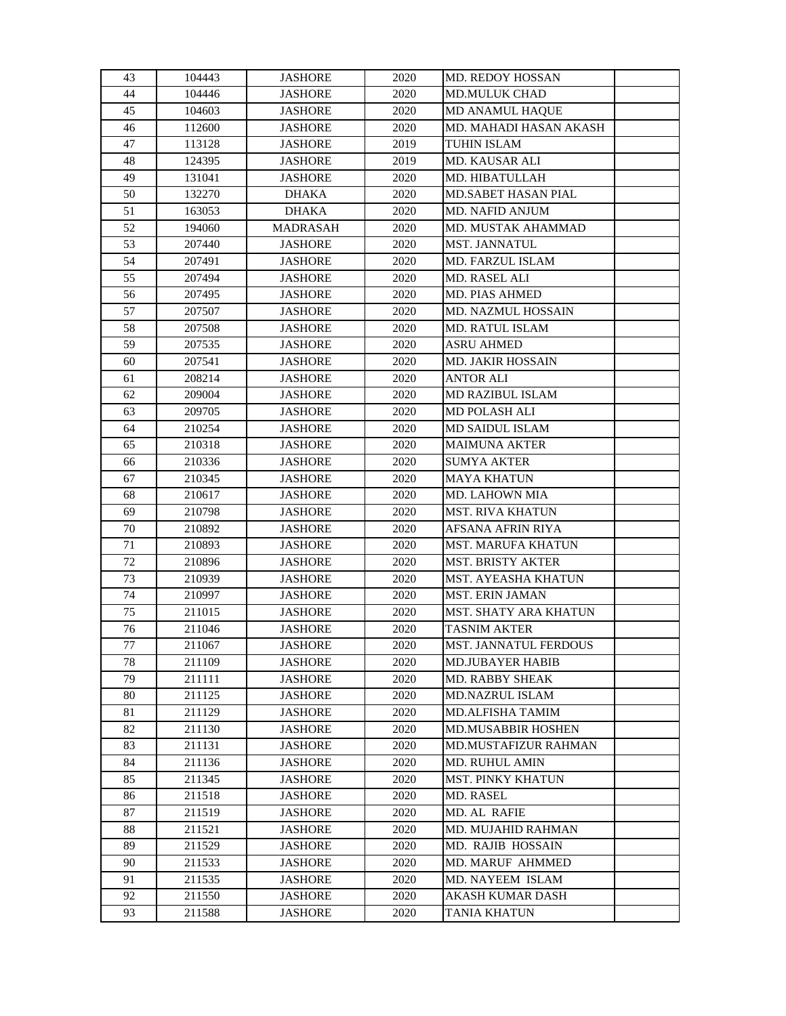| 43     | 104443 | <b>JASHORE</b>  | 2020 | <b>MD. REDOY HOSSAN</b>      |
|--------|--------|-----------------|------|------------------------------|
| 44     | 104446 | <b>JASHORE</b>  | 2020 | <b>MD.MULUK CHAD</b>         |
| 45     | 104603 | <b>JASHORE</b>  | 2020 | <b>MD ANAMUL HAQUE</b>       |
| 46     | 112600 | <b>JASHORE</b>  | 2020 | MD. MAHADI HASAN AKASH       |
| 47     | 113128 | <b>JASHORE</b>  | 2019 | TUHIN ISLAM                  |
| 48     | 124395 | <b>JASHORE</b>  | 2019 | <b>MD. KAUSAR ALI</b>        |
| 49     | 131041 | <b>JASHORE</b>  | 2020 | MD. HIBATULLAH               |
| 50     | 132270 | <b>DHAKA</b>    | 2020 | MD.SABET HASAN PIAL          |
| 51     | 163053 | <b>DHAKA</b>    | 2020 | <b>MD. NAFID ANJUM</b>       |
| 52     | 194060 | <b>MADRASAH</b> | 2020 | MD. MUSTAK AHAMMAD           |
| 53     | 207440 | <b>JASHORE</b>  | 2020 | MST. JANNATUL                |
| 54     | 207491 | <b>JASHORE</b>  | 2020 | MD. FARZUL ISLAM             |
| 55     | 207494 | <b>JASHORE</b>  | 2020 | MD. RASEL ALI                |
| 56     | 207495 | <b>JASHORE</b>  | 2020 | MD. PIAS AHMED               |
| 57     | 207507 | <b>JASHORE</b>  | 2020 | MD. NAZMUL HOSSAIN           |
| 58     | 207508 | <b>JASHORE</b>  | 2020 | <b>MD. RATUL ISLAM</b>       |
| 59     | 207535 | <b>JASHORE</b>  | 2020 | <b>ASRU AHMED</b>            |
| 60     | 207541 | <b>JASHORE</b>  | 2020 | <b>MD. JAKIR HOSSAIN</b>     |
| 61     | 208214 | <b>JASHORE</b>  | 2020 | <b>ANTOR ALI</b>             |
| 62     | 209004 | <b>JASHORE</b>  | 2020 | <b>MD RAZIBUL ISLAM</b>      |
| 63     | 209705 | <b>JASHORE</b>  | 2020 | MD POLASH ALI                |
| 64     | 210254 | <b>JASHORE</b>  | 2020 | <b>MD SAIDUL ISLAM</b>       |
| 65     | 210318 | <b>JASHORE</b>  | 2020 | <b>MAIMUNA AKTER</b>         |
| 66     | 210336 | <b>JASHORE</b>  | 2020 | <b>SUMYA AKTER</b>           |
| 67     | 210345 | <b>JASHORE</b>  | 2020 | <b>MAYA KHATUN</b>           |
| 68     | 210617 | <b>JASHORE</b>  | 2020 | MD. LAHOWN MIA               |
| 69     | 210798 | <b>JASHORE</b>  | 2020 | <b>MST. RIVA KHATUN</b>      |
| 70     | 210892 | <b>JASHORE</b>  | 2020 | AFSANA AFRIN RIYA            |
| 71     | 210893 | <b>JASHORE</b>  | 2020 | <b>MST. MARUFA KHATUN</b>    |
| 72     | 210896 | <b>JASHORE</b>  | 2020 | <b>MST. BRISTY AKTER</b>     |
| 73     | 210939 | <b>JASHORE</b>  | 2020 | <b>MST. AYEASHA KHATUN</b>   |
| 74     | 210997 | <b>JASHORE</b>  | 2020 | MST. ERIN JAMAN              |
| 75     | 211015 | <b>JASHORE</b>  | 2020 | <b>MST. SHATY ARA KHATUN</b> |
| 76     | 211046 | <b>JASHORE</b>  | 2020 | <b>TASNIM AKTER</b>          |
| 77     | 211067 | <b>JASHORE</b>  | 2020 | <b>MST. JANNATUL FERDOUS</b> |
| $78\,$ | 211109 | <b>JASHORE</b>  | 2020 | <b>MD.JUBAYER HABIB</b>      |
| 79     | 211111 | <b>JASHORE</b>  | 2020 | <b>MD. RABBY SHEAK</b>       |
| 80     | 211125 | <b>JASHORE</b>  | 2020 | <b>MD.NAZRUL ISLAM</b>       |
| 81     | 211129 | <b>JASHORE</b>  | 2020 | MD.ALFISHA TAMIM             |
| 82     | 211130 | <b>JASHORE</b>  | 2020 | <b>MD.MUSABBIR HOSHEN</b>    |
| 83     | 211131 | <b>JASHORE</b>  | 2020 | <b>MD.MUSTAFIZUR RAHMAN</b>  |
| 84     | 211136 | <b>JASHORE</b>  | 2020 | <b>MD. RUHUL AMIN</b>        |
| 85     | 211345 | <b>JASHORE</b>  | 2020 | MST. PINKY KHATUN            |
| 86     | 211518 | <b>JASHORE</b>  | 2020 | <b>MD. RASEL</b>             |
| 87     | 211519 | <b>JASHORE</b>  | 2020 | MD. AL RAFIE                 |
| 88     | 211521 | <b>JASHORE</b>  | 2020 | MD. MUJAHID RAHMAN           |
| 89     | 211529 | <b>JASHORE</b>  | 2020 | MD. RAJIB HOSSAIN            |
| 90     | 211533 | <b>JASHORE</b>  | 2020 | <b>MD. MARUF AHMMED</b>      |
| 91     | 211535 | <b>JASHORE</b>  | 2020 | MD. NAYEEM ISLAM             |
| 92     | 211550 | <b>JASHORE</b>  | 2020 | AKASH KUMAR DASH             |
| 93     | 211588 | <b>JASHORE</b>  | 2020 | TANIA KHATUN                 |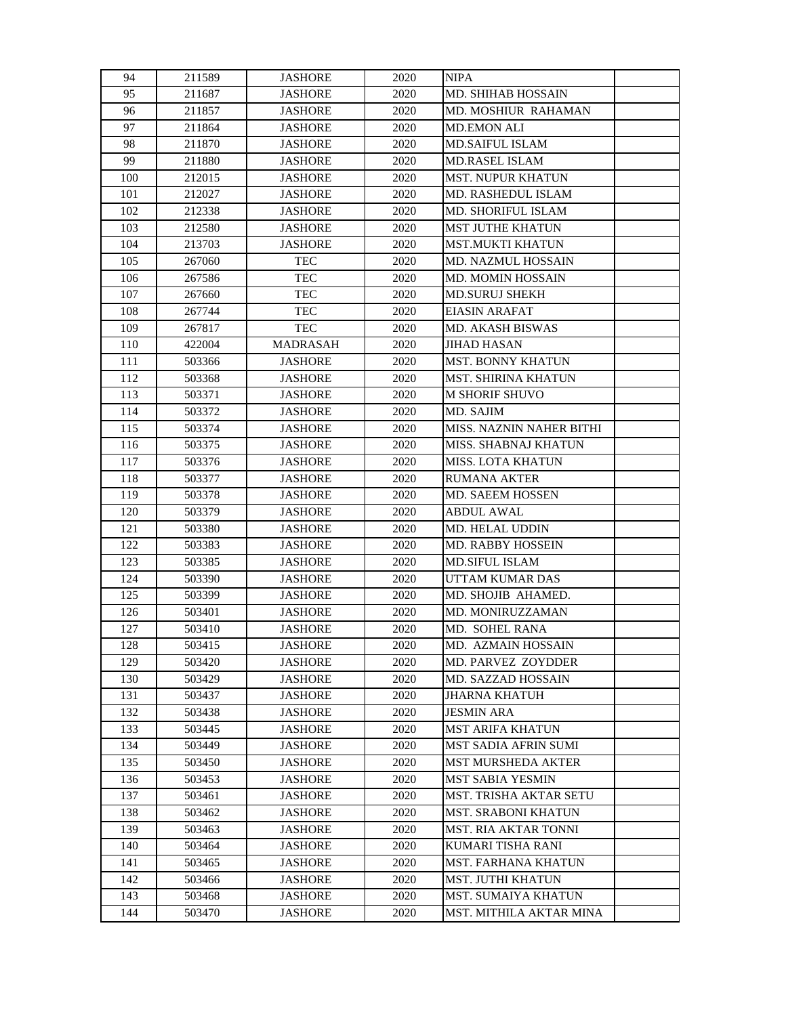| 94  | 211589 | <b>JASHORE</b>  | 2020 | <b>NIPA</b>                   |  |
|-----|--------|-----------------|------|-------------------------------|--|
| 95  | 211687 | <b>JASHORE</b>  | 2020 | <b>MD. SHIHAB HOSSAIN</b>     |  |
| 96  | 211857 | <b>JASHORE</b>  | 2020 | MD. MOSHIUR RAHAMAN           |  |
| 97  | 211864 | <b>JASHORE</b>  | 2020 | <b>MD.EMON ALI</b>            |  |
| 98  | 211870 | <b>JASHORE</b>  | 2020 | <b>MD.SAIFUL ISLAM</b>        |  |
| 99  | 211880 | <b>JASHORE</b>  | 2020 | MD.RASEL ISLAM                |  |
| 100 | 212015 | <b>JASHORE</b>  | 2020 | <b>MST. NUPUR KHATUN</b>      |  |
| 101 | 212027 | <b>JASHORE</b>  | 2020 | <b>MD. RASHEDUL ISLAM</b>     |  |
| 102 | 212338 | <b>JASHORE</b>  | 2020 | MD. SHORIFUL ISLAM            |  |
| 103 | 212580 | <b>JASHORE</b>  | 2020 | <b>MST JUTHE KHATUN</b>       |  |
| 104 | 213703 | <b>JASHORE</b>  | 2020 | <b>MST.MUKTI KHATUN</b>       |  |
| 105 | 267060 | <b>TEC</b>      | 2020 | <b>MD. NAZMUL HOSSAIN</b>     |  |
| 106 | 267586 | <b>TEC</b>      | 2020 | <b>MD. MOMIN HOSSAIN</b>      |  |
| 107 | 267660 | <b>TEC</b>      | 2020 | <b>MD.SURUJ SHEKH</b>         |  |
| 108 | 267744 | <b>TEC</b>      | 2020 | <b>EIASIN ARAFAT</b>          |  |
| 109 | 267817 | <b>TEC</b>      | 2020 | MD. AKASH BISWAS              |  |
| 110 | 422004 | <b>MADRASAH</b> | 2020 | <b>JIHAD HASAN</b>            |  |
| 111 | 503366 | <b>JASHORE</b>  | 2020 | <b>MST. BONNY KHATUN</b>      |  |
| 112 | 503368 | <b>JASHORE</b>  | 2020 | <b>MST. SHIRINA KHATUN</b>    |  |
| 113 | 503371 | <b>JASHORE</b>  | 2020 | <b>M SHORIF SHUVO</b>         |  |
| 114 | 503372 | <b>JASHORE</b>  | 2020 | MD. SAJIM                     |  |
| 115 | 503374 | <b>JASHORE</b>  | 2020 | MISS. NAZNIN NAHER BITHI      |  |
| 116 | 503375 | <b>JASHORE</b>  | 2020 | MISS. SHABNAJ KHATUN          |  |
| 117 | 503376 | <b>JASHORE</b>  | 2020 | <b>MISS. LOTA KHATUN</b>      |  |
| 118 | 503377 | <b>JASHORE</b>  | 2020 | <b>RUMANA AKTER</b>           |  |
| 119 | 503378 | <b>JASHORE</b>  | 2020 | MD. SAEEM HOSSEN              |  |
| 120 | 503379 | <b>JASHORE</b>  | 2020 | <b>ABDUL AWAL</b>             |  |
| 121 | 503380 | <b>JASHORE</b>  | 2020 | <b>MD. HELAL UDDIN</b>        |  |
| 122 | 503383 | <b>JASHORE</b>  | 2020 | MD. RABBY HOSSEIN             |  |
| 123 | 503385 | <b>JASHORE</b>  | 2020 | <b>MD.SIFUL ISLAM</b>         |  |
| 124 | 503390 | <b>JASHORE</b>  | 2020 | UTTAM KUMAR DAS               |  |
| 125 | 503399 | <b>JASHORE</b>  | 2020 | MD. SHOJIB AHAMED.            |  |
| 126 | 503401 | <b>JASHORE</b>  | 2020 | MD. MONIRUZZAMAN              |  |
| 127 | 503410 | <b>JASHORE</b>  | 2020 | MD. SOHEL RANA                |  |
| 128 | 503415 | <b>JASHORE</b>  | 2020 | MD. AZMAIN HOSSAIN            |  |
| 129 | 503420 | <b>JASHORE</b>  | 2020 | <b>MD. PARVEZ ZOYDDER</b>     |  |
| 130 | 503429 | <b>JASHORE</b>  | 2020 | <b>MD. SAZZAD HOSSAIN</b>     |  |
| 131 | 503437 | <b>JASHORE</b>  | 2020 | <b>JHARNA KHATUH</b>          |  |
| 132 | 503438 | <b>JASHORE</b>  | 2020 | <b>JESMIN ARA</b>             |  |
| 133 | 503445 | <b>JASHORE</b>  | 2020 | <b>MST ARIFA KHATUN</b>       |  |
| 134 | 503449 | <b>JASHORE</b>  | 2020 | <b>MST SADIA AFRIN SUMI</b>   |  |
| 135 | 503450 | <b>JASHORE</b>  | 2020 | <b>MST MURSHEDA AKTER</b>     |  |
| 136 | 503453 | <b>JASHORE</b>  | 2020 | <b>MST SABIA YESMIN</b>       |  |
| 137 | 503461 | <b>JASHORE</b>  | 2020 | <b>MST. TRISHA AKTAR SETU</b> |  |
| 138 | 503462 | <b>JASHORE</b>  | 2020 | <b>MST. SRABONI KHATUN</b>    |  |
| 139 | 503463 | <b>JASHORE</b>  | 2020 | <b>MST. RIA AKTAR TONNI</b>   |  |
| 140 | 503464 | <b>JASHORE</b>  | 2020 | KUMARI TISHA RANI             |  |
| 141 | 503465 | <b>JASHORE</b>  | 2020 | <b>MST. FARHANA KHATUN</b>    |  |
| 142 | 503466 | <b>JASHORE</b>  | 2020 | <b>MST. JUTHI KHATUN</b>      |  |
| 143 | 503468 | <b>JASHORE</b>  | 2020 | <b>MST. SUMAIYA KHATUN</b>    |  |
| 144 | 503470 | <b>JASHORE</b>  | 2020 | MST. MITHILA AKTAR MINA       |  |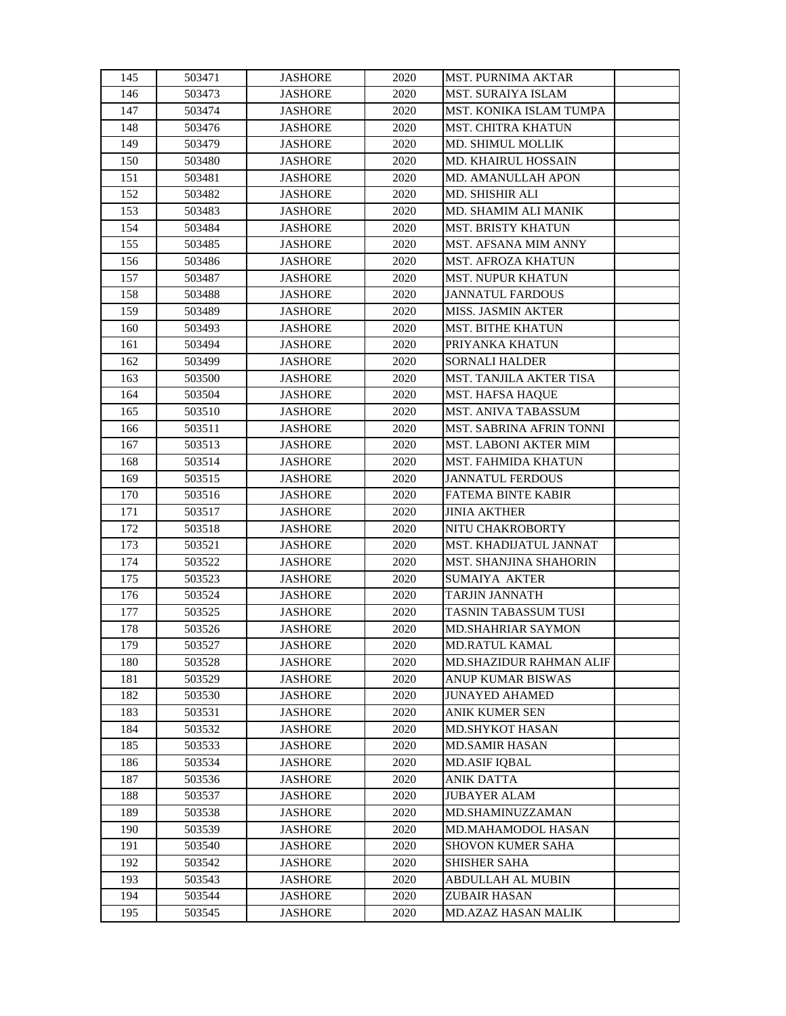| 145 | 503471 | <b>JASHORE</b> | 2020 | <b>MST. PURNIMA AKTAR</b>      |  |
|-----|--------|----------------|------|--------------------------------|--|
| 146 | 503473 | <b>JASHORE</b> | 2020 | <b>MST. SURAIYA ISLAM</b>      |  |
| 147 | 503474 | <b>JASHORE</b> | 2020 | MST. KONIKA ISLAM TUMPA        |  |
| 148 | 503476 | <b>JASHORE</b> | 2020 | <b>MST. CHITRA KHATUN</b>      |  |
| 149 | 503479 | <b>JASHORE</b> | 2020 | MD. SHIMUL MOLLIK              |  |
| 150 | 503480 | <b>JASHORE</b> | 2020 | MD. KHAIRUL HOSSAIN            |  |
| 151 | 503481 | <b>JASHORE</b> | 2020 | MD. AMANULLAH APON             |  |
| 152 | 503482 | <b>JASHORE</b> | 2020 | MD. SHISHIR ALI                |  |
| 153 | 503483 | <b>JASHORE</b> | 2020 | MD. SHAMIM ALI MANIK           |  |
| 154 | 503484 | <b>JASHORE</b> | 2020 | <b>MST. BRISTY KHATUN</b>      |  |
| 155 | 503485 | <b>JASHORE</b> | 2020 | MST. AFSANA MIM ANNY           |  |
| 156 | 503486 | <b>JASHORE</b> | 2020 | <b>MST. AFROZA KHATUN</b>      |  |
| 157 | 503487 | <b>JASHORE</b> | 2020 | <b>MST. NUPUR KHATUN</b>       |  |
| 158 | 503488 | <b>JASHORE</b> | 2020 | <b>JANNATUL FARDOUS</b>        |  |
| 159 | 503489 | <b>JASHORE</b> | 2020 | MISS. JASMIN AKTER             |  |
| 160 | 503493 | <b>JASHORE</b> | 2020 | <b>MST. BITHE KHATUN</b>       |  |
| 161 | 503494 | <b>JASHORE</b> | 2020 | PRIYANKA KHATUN                |  |
| 162 | 503499 | <b>JASHORE</b> | 2020 | <b>SORNALI HALDER</b>          |  |
| 163 | 503500 | <b>JASHORE</b> | 2020 | <b>MST. TANJILA AKTER TISA</b> |  |
| 164 | 503504 | <b>JASHORE</b> | 2020 | MST. HAFSA HAQUE               |  |
| 165 | 503510 | <b>JASHORE</b> | 2020 | MST. ANIVA TABASSUM            |  |
| 166 | 503511 | <b>JASHORE</b> | 2020 | MST. SABRINA AFRIN TONNI       |  |
| 167 | 503513 | <b>JASHORE</b> | 2020 | <b>MST. LABONI AKTER MIM</b>   |  |
| 168 | 503514 | <b>JASHORE</b> | 2020 | <b>MST. FAHMIDA KHATUN</b>     |  |
| 169 | 503515 | <b>JASHORE</b> | 2020 | <b>JANNATUL FERDOUS</b>        |  |
| 170 | 503516 | <b>JASHORE</b> | 2020 | FATEMA BINTE KABIR             |  |
| 171 | 503517 | <b>JASHORE</b> | 2020 | <b>JINIA AKTHER</b>            |  |
| 172 | 503518 | <b>JASHORE</b> | 2020 | NITU CHAKROBORTY               |  |
| 173 | 503521 | <b>JASHORE</b> | 2020 | MST. KHADIJATUL JANNAT         |  |
| 174 | 503522 | <b>JASHORE</b> | 2020 | MST. SHANJINA SHAHORIN         |  |
| 175 | 503523 | <b>JASHORE</b> | 2020 | <b>SUMAIYA AKTER</b>           |  |
| 176 | 503524 | <b>JASHORE</b> | 2020 | <b>TARJIN JANNATH</b>          |  |
| 177 | 503525 | <b>JASHORE</b> | 2020 | TASNIN TABASSUM TUSI           |  |
| 178 | 503526 | <b>JASHORE</b> | 2020 | <b>MD.SHAHRIAR SAYMON</b>      |  |
| 179 | 503527 | <b>JASHORE</b> | 2020 | MD.RATUL KAMAL                 |  |
| 180 | 503528 | JASHORE        | 2020 | <b>MD.SHAZIDUR RAHMAN ALIF</b> |  |
| 181 | 503529 | <b>JASHORE</b> | 2020 | <b>ANUP KUMAR BISWAS</b>       |  |
| 182 | 503530 | <b>JASHORE</b> | 2020 | <b>JUNAYED AHAMED</b>          |  |
| 183 | 503531 | <b>JASHORE</b> | 2020 | ANIK KUMER SEN                 |  |
| 184 | 503532 | <b>JASHORE</b> | 2020 | <b>MD.SHYKOT HASAN</b>         |  |
| 185 | 503533 | <b>JASHORE</b> | 2020 | <b>MD.SAMIR HASAN</b>          |  |
| 186 | 503534 | <b>JASHORE</b> | 2020 | <b>MD.ASIF IQBAL</b>           |  |
| 187 | 503536 | <b>JASHORE</b> | 2020 | <b>ANIK DATTA</b>              |  |
| 188 | 503537 | <b>JASHORE</b> | 2020 | <b>JUBAYER ALAM</b>            |  |
| 189 | 503538 | <b>JASHORE</b> | 2020 | MD.SHAMINUZZAMAN               |  |
| 190 | 503539 | <b>JASHORE</b> | 2020 | MD.MAHAMODOL HASAN             |  |
| 191 | 503540 | <b>JASHORE</b> | 2020 | <b>SHOVON KUMER SAHA</b>       |  |
| 192 | 503542 | <b>JASHORE</b> | 2020 | <b>SHISHER SAHA</b>            |  |
| 193 | 503543 | <b>JASHORE</b> | 2020 | ABDULLAH AL MUBIN              |  |
| 194 | 503544 | <b>JASHORE</b> | 2020 | <b>ZUBAIR HASAN</b>            |  |
| 195 | 503545 | <b>JASHORE</b> | 2020 | MD.AZAZ HASAN MALIK            |  |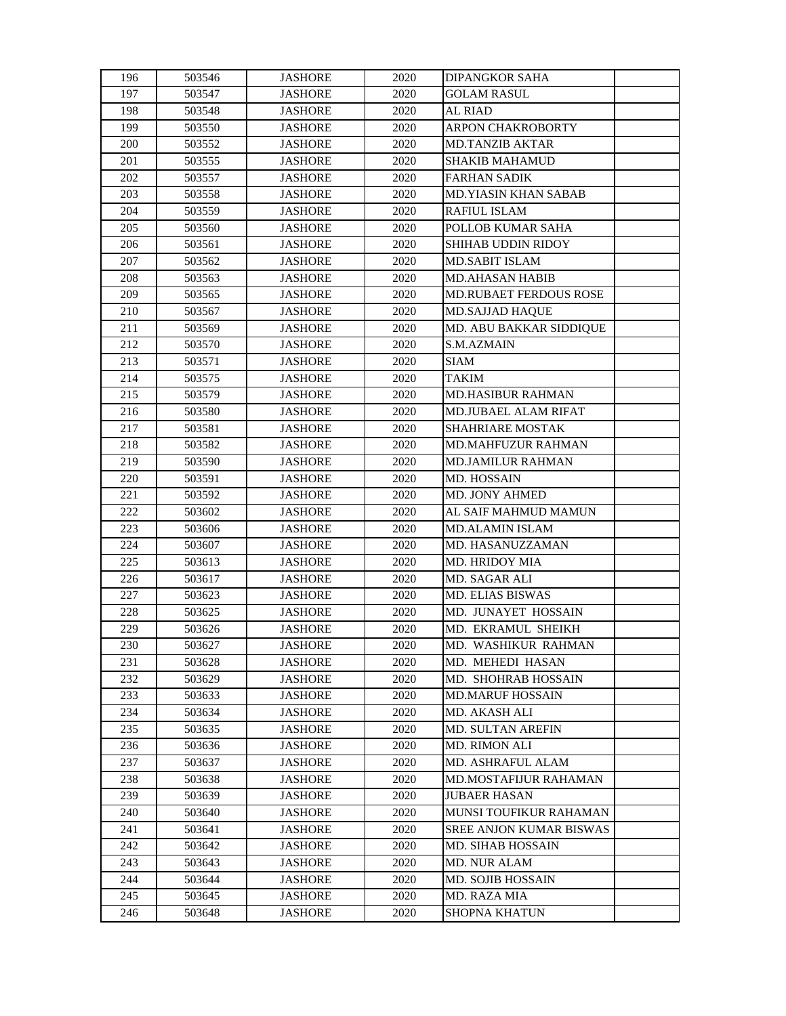| 196 | 503546 | <b>JASHORE</b> | 2020 | <b>DIPANGKOR SAHA</b>        |  |
|-----|--------|----------------|------|------------------------------|--|
| 197 | 503547 | <b>JASHORE</b> | 2020 | <b>GOLAM RASUL</b>           |  |
| 198 | 503548 | <b>JASHORE</b> | 2020 | <b>AL RIAD</b>               |  |
| 199 | 503550 | <b>JASHORE</b> | 2020 | ARPON CHAKROBORTY            |  |
| 200 | 503552 | <b>JASHORE</b> | 2020 | <b>MD.TANZIB AKTAR</b>       |  |
| 201 | 503555 | <b>JASHORE</b> | 2020 | <b>SHAKIB MAHAMUD</b>        |  |
| 202 | 503557 | <b>JASHORE</b> | 2020 | <b>FARHAN SADIK</b>          |  |
| 203 | 503558 | <b>JASHORE</b> | 2020 | <b>MD.YIASIN KHAN SABAB</b>  |  |
| 204 | 503559 | <b>JASHORE</b> | 2020 | <b>RAFIUL ISLAM</b>          |  |
| 205 | 503560 | <b>JASHORE</b> | 2020 | POLLOB KUMAR SAHA            |  |
| 206 | 503561 | <b>JASHORE</b> | 2020 | <b>SHIHAB UDDIN RIDOY</b>    |  |
| 207 | 503562 | <b>JASHORE</b> | 2020 | <b>MD.SABIT ISLAM</b>        |  |
| 208 | 503563 | <b>JASHORE</b> | 2020 | <b>MD.AHASAN HABIB</b>       |  |
| 209 | 503565 | <b>JASHORE</b> | 2020 | MD.RUBAET FERDOUS ROSE       |  |
| 210 | 503567 | <b>JASHORE</b> | 2020 | <b>MD.SAJJAD HAQUE</b>       |  |
| 211 | 503569 | <b>JASHORE</b> | 2020 | MD. ABU BAKKAR SIDDIQUE      |  |
| 212 | 503570 | <b>JASHORE</b> | 2020 | S.M.AZMAIN                   |  |
| 213 | 503571 | <b>JASHORE</b> | 2020 | <b>SIAM</b>                  |  |
| 214 | 503575 | <b>JASHORE</b> | 2020 | <b>TAKIM</b>                 |  |
| 215 | 503579 | <b>JASHORE</b> | 2020 | <b>MD.HASIBUR RAHMAN</b>     |  |
| 216 | 503580 | <b>JASHORE</b> | 2020 | MD.JUBAEL ALAM RIFAT         |  |
| 217 | 503581 | <b>JASHORE</b> | 2020 | <b>SHAHRIARE MOSTAK</b>      |  |
| 218 | 503582 | <b>JASHORE</b> | 2020 | MD.MAHFUZUR RAHMAN           |  |
| 219 | 503590 | <b>JASHORE</b> | 2020 | MD.JAMILUR RAHMAN            |  |
| 220 | 503591 | <b>JASHORE</b> | 2020 | <b>MD. HOSSAIN</b>           |  |
| 221 | 503592 | <b>JASHORE</b> | 2020 | MD. JONY AHMED               |  |
| 222 | 503602 | <b>JASHORE</b> | 2020 | AL SAIF MAHMUD MAMUN         |  |
| 223 | 503606 | <b>JASHORE</b> | 2020 | <b>MD.ALAMIN ISLAM</b>       |  |
| 224 | 503607 | <b>JASHORE</b> | 2020 | MD. HASANUZZAMAN             |  |
| 225 | 503613 | <b>JASHORE</b> | 2020 | MD. HRIDOY MIA               |  |
| 226 | 503617 | <b>JASHORE</b> | 2020 | MD. SAGAR ALI                |  |
| 227 | 503623 | <b>JASHORE</b> | 2020 | MD. ELIAS BISWAS             |  |
| 228 | 503625 | <b>JASHORE</b> | 2020 | MD. JUNAYET HOSSAIN          |  |
| 229 | 503626 | <b>JASHORE</b> | 2020 | MD. EKRAMUL SHEIKH           |  |
| 230 | 503627 | <b>JASHORE</b> | 2020 | MD. WASHIKUR RAHMAN          |  |
| 231 | 503628 | <b>JASHORE</b> | 2020 | MD. MEHEDI HASAN             |  |
| 232 | 503629 | <b>JASHORE</b> | 2020 | MD. SHOHRAB HOSSAIN          |  |
| 233 | 503633 | <b>JASHORE</b> | 2020 | <b>MD.MARUF HOSSAIN</b>      |  |
| 234 | 503634 | <b>JASHORE</b> | 2020 | MD. AKASH ALI                |  |
| 235 | 503635 | <b>JASHORE</b> | 2020 | <b>MD. SULTAN AREFIN</b>     |  |
| 236 | 503636 | <b>JASHORE</b> | 2020 | <b>MD. RIMON ALI</b>         |  |
| 237 | 503637 | <b>JASHORE</b> | 2020 | MD. ASHRAFUL ALAM            |  |
| 238 | 503638 | <b>JASHORE</b> | 2020 | <b>MD.MOSTAFIJUR RAHAMAN</b> |  |
| 239 | 503639 | <b>JASHORE</b> | 2020 | <b>JUBAER HASAN</b>          |  |
| 240 | 503640 | <b>JASHORE</b> | 2020 | MUNSI TOUFIKUR RAHAMAN       |  |
| 241 | 503641 | <b>JASHORE</b> | 2020 | SREE ANJON KUMAR BISWAS      |  |
| 242 | 503642 | <b>JASHORE</b> | 2020 | <b>MD. SIHAB HOSSAIN</b>     |  |
| 243 | 503643 | <b>JASHORE</b> | 2020 | <b>MD. NUR ALAM</b>          |  |
| 244 | 503644 | <b>JASHORE</b> | 2020 | <b>MD. SOJIB HOSSAIN</b>     |  |
| 245 | 503645 | <b>JASHORE</b> | 2020 | MD. RAZA MIA                 |  |
| 246 | 503648 | <b>JASHORE</b> | 2020 | <b>SHOPNA KHATUN</b>         |  |
|     |        |                |      |                              |  |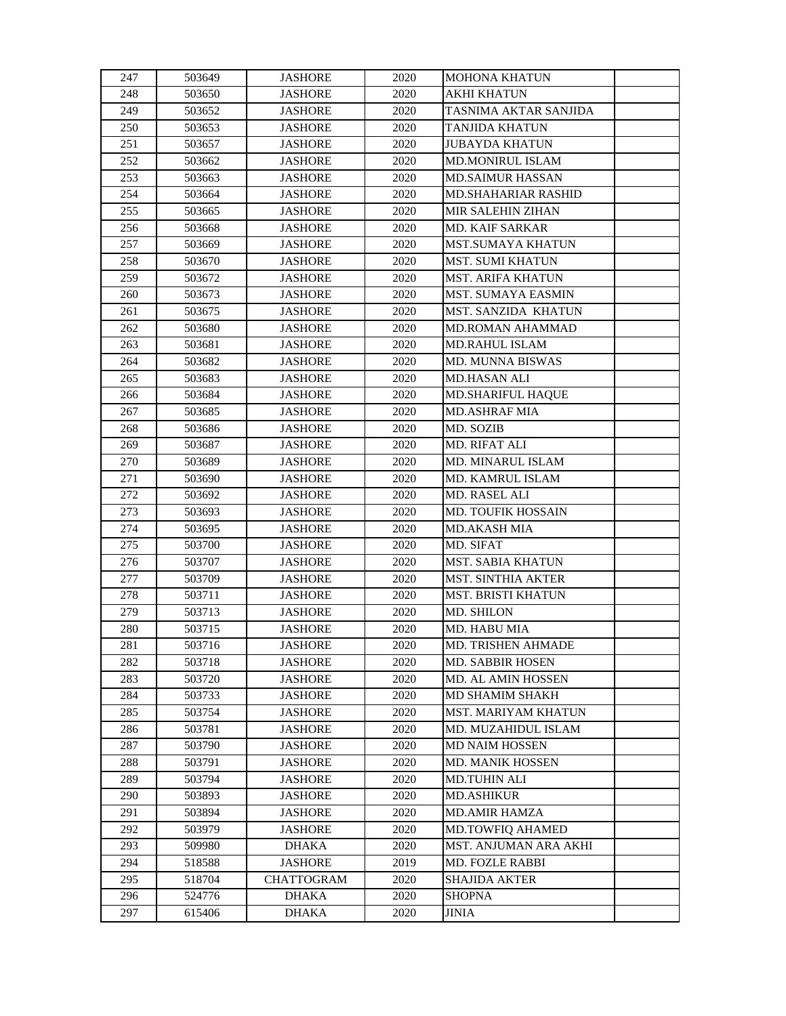| 247 | 503649 | <b>JASHORE</b>    | 2020 | <b>MOHONA KHATUN</b>       |  |
|-----|--------|-------------------|------|----------------------------|--|
| 248 | 503650 | <b>JASHORE</b>    | 2020 | <b>AKHI KHATUN</b>         |  |
| 249 | 503652 | <b>JASHORE</b>    | 2020 | TASNIMA AKTAR SANJIDA      |  |
| 250 | 503653 | <b>JASHORE</b>    | 2020 | <b>TANJIDA KHATUN</b>      |  |
| 251 | 503657 | <b>JASHORE</b>    | 2020 | <b>JUBAYDA KHATUN</b>      |  |
| 252 | 503662 | <b>JASHORE</b>    | 2020 | MD.MONIRUL ISLAM           |  |
| 253 | 503663 | <b>JASHORE</b>    | 2020 | <b>MD.SAIMUR HASSAN</b>    |  |
| 254 | 503664 | <b>JASHORE</b>    | 2020 | <b>MD.SHAHARIAR RASHID</b> |  |
| 255 | 503665 | <b>JASHORE</b>    | 2020 | <b>MIR SALEHIN ZIHAN</b>   |  |
| 256 | 503668 | <b>JASHORE</b>    | 2020 | <b>MD. KAIF SARKAR</b>     |  |
| 257 | 503669 | <b>JASHORE</b>    | 2020 | <b>MST.SUMAYA KHATUN</b>   |  |
| 258 | 503670 | <b>JASHORE</b>    | 2020 | <b>MST. SUMI KHATUN</b>    |  |
| 259 | 503672 | <b>JASHORE</b>    | 2020 | <b>MST. ARIFA KHATUN</b>   |  |
| 260 | 503673 | <b>JASHORE</b>    | 2020 | MST. SUMAYA EASMIN         |  |
| 261 | 503675 | <b>JASHORE</b>    | 2020 | MST. SANZIDA KHATUN        |  |
| 262 | 503680 | <b>JASHORE</b>    | 2020 | <b>MD.ROMAN AHAMMAD</b>    |  |
| 263 | 503681 | <b>JASHORE</b>    | 2020 | MD.RAHUL ISLAM             |  |
| 264 | 503682 | <b>JASHORE</b>    | 2020 | MD. MUNNA BISWAS           |  |
| 265 | 503683 | <b>JASHORE</b>    | 2020 | <b>MD.HASAN ALI</b>        |  |
| 266 | 503684 | <b>JASHORE</b>    | 2020 | <b>MD.SHARIFUL HAQUE</b>   |  |
| 267 | 503685 | <b>JASHORE</b>    | 2020 | <b>MD.ASHRAF MIA</b>       |  |
| 268 | 503686 | <b>JASHORE</b>    | 2020 | MD. SOZIB                  |  |
| 269 | 503687 | <b>JASHORE</b>    | 2020 | MD. RIFAT ALI              |  |
| 270 | 503689 | <b>JASHORE</b>    | 2020 | <b>MD. MINARUL ISLAM</b>   |  |
| 271 | 503690 | <b>JASHORE</b>    | 2020 | MD. KAMRUL ISLAM           |  |
| 272 | 503692 | <b>JASHORE</b>    | 2020 | MD. RASEL ALI              |  |
| 273 | 503693 | <b>JASHORE</b>    | 2020 | MD. TOUFIK HOSSAIN         |  |
| 274 | 503695 | <b>JASHORE</b>    | 2020 | <b>MD.AKASH MIA</b>        |  |
| 275 | 503700 | <b>JASHORE</b>    | 2020 | MD. SIFAT                  |  |
| 276 | 503707 | <b>JASHORE</b>    | 2020 | MST. SABIA KHATUN          |  |
| 277 | 503709 | <b>JASHORE</b>    | 2020 | <b>MST. SINTHIA AKTER</b>  |  |
| 278 | 503711 | <b>JASHORE</b>    | 2020 | <b>MST. BRISTI KHATUN</b>  |  |
| 279 | 503713 | <b>JASHORE</b>    | 2020 | MD. SHILON                 |  |
| 280 | 503715 | <b>JASHORE</b>    | 2020 | <b>MD. HABU MIA</b>        |  |
| 281 | 503716 | <b>JASHORE</b>    | 2020 | <b>MD. TRISHEN AHMADE</b>  |  |
| 282 | 503718 | <b>JASHORE</b>    | 2020 | <b>MD. SABBIR HOSEN</b>    |  |
| 283 | 503720 | <b>JASHORE</b>    | 2020 | <b>MD. AL AMIN HOSSEN</b>  |  |
| 284 | 503733 | <b>JASHORE</b>    | 2020 | <b>MD SHAMIM SHAKH</b>     |  |
| 285 | 503754 | <b>JASHORE</b>    | 2020 | MST. MARIYAM KHATUN        |  |
| 286 | 503781 | <b>JASHORE</b>    | 2020 | MD. MUZAHIDUL ISLAM        |  |
| 287 | 503790 | <b>JASHORE</b>    | 2020 | <b>MD NAIM HOSSEN</b>      |  |
| 288 | 503791 | <b>JASHORE</b>    | 2020 | <b>MD. MANIK HOSSEN</b>    |  |
| 289 | 503794 | <b>JASHORE</b>    | 2020 | <b>MD.TUHIN ALI</b>        |  |
| 290 | 503893 | <b>JASHORE</b>    | 2020 | <b>MD.ASHIKUR</b>          |  |
| 291 | 503894 | <b>JASHORE</b>    | 2020 | <b>MD.AMIR HAMZA</b>       |  |
| 292 | 503979 | <b>JASHORE</b>    | 2020 | MD.TOWFIQ AHAMED           |  |
| 293 | 509980 | <b>DHAKA</b>      | 2020 | MST. ANJUMAN ARA AKHI      |  |
| 294 | 518588 | <b>JASHORE</b>    | 2019 | MD. FOZLE RABBI            |  |
| 295 | 518704 | <b>CHATTOGRAM</b> | 2020 | <b>SHAJIDA AKTER</b>       |  |
| 296 | 524776 | <b>DHAKA</b>      | 2020 | <b>SHOPNA</b>              |  |
| 297 | 615406 | <b>DHAKA</b>      | 2020 | JINIA                      |  |